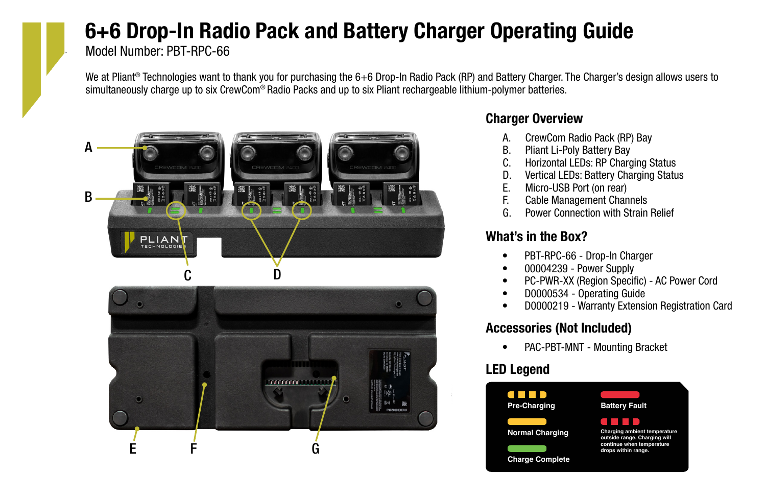# 6+6 Drop-In Radio Pack and Battery Charger Operating Guide

Model Number: PBT-RPC-66

We at Pliant<sup>®</sup> Technologies want to thank you for purchasing the 6+6 Drop-In Radio Pack (RP) and Battery Charger. The Charger's design allows users to simultaneously charge up to six CrewCom® Radio Packs and up to six Pliant rechargeable lithium-polymer batteries.



## Charger Overview

- A. CrewCom Radio Pack (RP) Bay
- B. Pliant Li-Poly Battery Bay
- C. Horizontal LEDs: RP Charging Status
- D. Vertical LEDs: Battery Charging Status<br>E. Micro-USB Port (on rear)
- Micro-USB Port (on rear)
- F. Cable Management Channels
- G. Power Connection with Strain Relief

# What's in the Box?

- PBT-RPC-66 Drop-In Charger
- 00004239 Power Supply
- PC-PWR-XX (Region Specific) AC Power Cord
- D0000534 Operating Guide
- D0000219 Warranty Extension Registration Card

# Accessories (Not Included)

• PAC-PBT-MNT - Mounting Bracket

# LED Legend